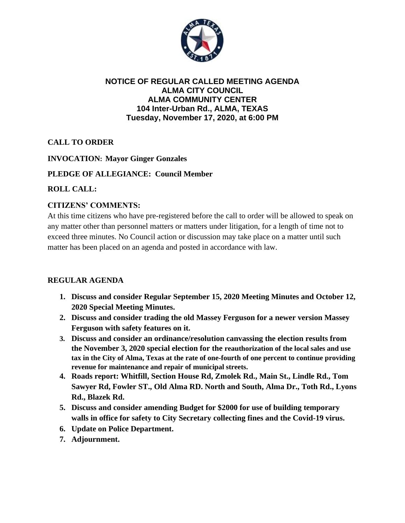

### **NOTICE OF REGULAR CALLED MEETING AGENDA ALMA CITY COUNCIL ALMA COMMUNITY CENTER 104 Inter-Urban Rd., ALMA, TEXAS Tuesday, November 17, 2020, at 6:00 PM**

# **CALL TO ORDER**

### **INVOCATION: Mayor Ginger Gonzales**

### **PLEDGE OF ALLEGIANCE: Council Member**

### **ROLL CALL:**

### **CITIZENS' COMMENTS:**

At this time citizens who have pre-registered before the call to order will be allowed to speak on any matter other than personnel matters or matters under litigation, for a length of time not to exceed three minutes. No Council action or discussion may take place on a matter until such matter has been placed on an agenda and posted in accordance with law.

#### **REGULAR AGENDA**

- **1. Discuss and consider Regular September 15, 2020 Meeting Minutes and October 12, 2020 Special Meeting Minutes.**
- **2. Discuss and consider trading the old Massey Ferguson for a newer version Massey Ferguson with safety features on it.**
- **3. Discuss and consider an ordinance/resolution canvassing the election results from the November 3, 2020 special election for the reauthorization of the local sales and use tax in the City of Alma, Texas at the rate of one-fourth of one percent to continue providing revenue for maintenance and repair of municipal streets.**
- **4. Roads report: Whitfill, Section House Rd, Zmolek Rd., Main St., Lindle Rd., Tom Sawyer Rd, Fowler ST., Old Alma RD. North and South, Alma Dr., Toth Rd., Lyons Rd., Blazek Rd.**
- **5. Discuss and consider amending Budget for \$2000 for use of building temporary walls in office for safety to City Secretary collecting fines and the Covid-19 virus.**
- **6. Update on Police Department.**
- **7. Adjournment.**